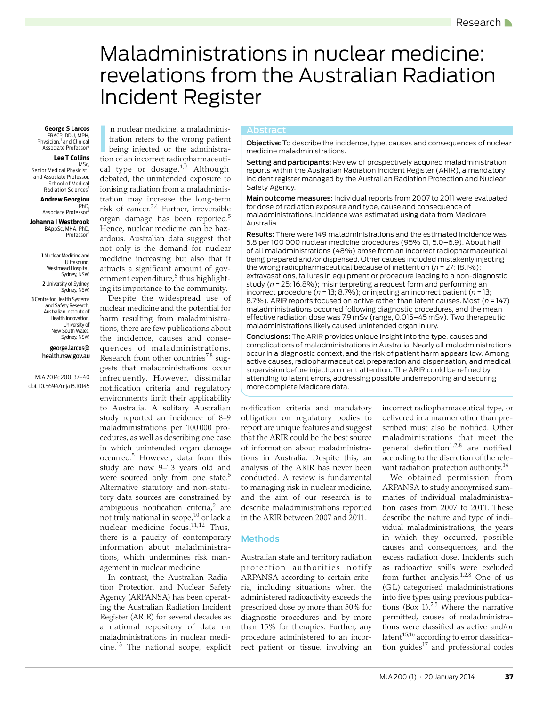# <span id="page-0-0"></span>Maladministrations in nuclear medicine: revelations from the Australian Radiation Incident Register

FRACP, DDU, MPH,<br>Physician,<sup>1</sup> and Clinical Associate Professor<sup>2</sup>

#### **Lee T Collins**

,MSc<br><sup>1</sup>,Senior Medical Physicist and Associate Professor, School of Medical Radiation Sciences<sup>2</sup>

#### **Andrew Georgiou** PhD,

Associate Professor<sup>3</sup>

**Johanna I Westbrook** BAppSc, MHA, PhD, Professor

1 Nuclear Medicine and Ultrasound, Westmead Hospital, Sydney, NSW. 2 University of Sydney, Sydney, NSW. 3 Centre for Health Systems and Safety Research, Australian Institute of Health Innovation, University of New South Wales, Sydney, NSW.

> george.larcos@ health.nsw.gov.au

MJA 2014; 200: [37](#page-0-0)[–40](#page-3-17) doi: 10.5694/mja13.10145

n nuclear medicine, a maladminis-Abstract **George S Larcos** tration refers to the wrong patient being injected or the administration of an incorrect radiopharmaceuti-cal type or dosage.<sup>[1](#page-3-0),2</sup> Although debated, the unintended exposure to ionising radiation from a maladministration may increase the long-term risk of cancer.[3](#page-3-2)[,4](#page-3-3) Further, irreversible organ damage has been reported.[5](#page-3-4) Hence, nuclear medicine can be hazardous. Australian data suggest that not only is the demand for nuclear medicine increasing but also that it attracts a significant amount of gov-ernment expenditure,<sup>[6](#page-3-5)</sup> thus highlighting its importance to the community.

agement in nuclear medicine. Despite the widespread use of nuclear medicine and the potential for harm resulting from maladministrations, there are few publications about the incidence, causes and consequences of maladministrations. Research from other countries $^{7,8}$  $^{7,8}$  $^{7,8}$  suggests that maladministrations occur infrequently. However, dissimilar notification criteria and regulatory environments limit their applicability to Australia. A solitary Australian study reported an incidence of 8–9 maladministrations per 100 000 procedures, as well as describing one case in which unintended organ damage occurred.<sup>[5](#page-3-4)</sup> However, data from this study are now 9–13 years old and were sourced only from one state.<sup>[5](#page-3-4)</sup> Alternative statutory and non-statutory data sources are constrained by ambiguous notification criteria,<sup>9</sup> are not truly national in scope, $^{10}$  $^{10}$  $^{10}$  or lack a nuclear medicine focus.[11,](#page-3-10)[12](#page-3-11) Thus, there is a paucity of contemporary information about maladministrations, which undermines risk man-

In contrast, the Australian Radiation Protection and Nuclear Safety  $\mathbb{A}$ Agency (ARPANSA) has been operating the Australian Radiation Incident Register (ARIR) for several decades as a national repository of data on maladministrations in nuclear medicine.[13](#page-3-12) The national scope, explicit

Abstract<br>**Objective:** To describe the incidence, type, causes and consequences of nuclear medicine maladministrations.

Setting and participants: Review of prospectively acquired maladministration reports within the Australian Radiation Incident Register (ARIR), a mandatory incident register managed by the Australian Radiation Protection and Nuclear Safety Agency.

Main outcome measures: Individual reports from 2007 to 2011 were evaluated for dose of radiation exposure and type, cause and consequence of maladministrations. Incidence was estimated using data from Medicare Australia.

Results: There were 149 maladministrations and the estimated incidence was 5.8 per 100 000 nuclear medicine procedures (95% CI, 5.0–6.9). About half of all maladministrations (48%) arose from an incorrect radiopharmaceutical being prepared and/or dispensed. Other causes included mistakenly injecting the wrong radiopharmaceutical because of inattention (*n* = 27; 18.1%); extravasations, failures in equipment or procedure leading to a non-diagnostic study (*n* = 25; 16.8%); misinterpreting a request form and performing an incorrect procedure (*n* = 13; 8.7%); or injecting an incorrect patient (*n* = 13; 8.7%). ARIR reports focused on active rather than latent causes. Most (*n* = 147) maladministrations occurred following diagnostic procedures, and the mean effective radiation dose was 7.9 mSv (range, 0.015–45 mSv). Two therapeutic maladministrations likely caused unintended organ injury.

Conclusions: The ARIR provides unique insight into the type, causes and complications of maladministrations in Australia. Nearly all maladministrations occur in a diagnostic context, and the risk of patient harm appears low. Among active causes, radiopharmaceutical preparation and dispensation, and medical supervision before injection merit attention. The ARIR could be refined by attending to latent errors, addressing possible underreporting and securing more complete Medicare data.

notification criteria and mandatory obligation on regulatory bodies to report are unique features and suggest that the ARIR could be the best source of information about maladministrations in Australia. Despite this, an analysis of the ARIR has never been conducted. A review is fundamental to managing risk in nuclear medicine, and the aim of our research is to describe maladministrations reported in the ARIR between 2007 and 2011.

### Methods

Australian state and territory radiation protection authorities notify ARPANSA according to certain criteria, including situations when the administered radioactivity exceeds the prescribed dose by more than 50% for diagnostic procedures and by more than 15% for therapies. Further, any procedure administered to an incorrect patient or tissue, involving an

incorrect radiopharmaceutical type, or delivered in a manner other than prescribed must also be notified. Other maladministrations that meet the general definition $1,2,8$  $1,2,8$  $1,2,8$  $1,2,8$  $1,2,8$  are notified according to the discretion of the rele-vant radiation protection authority.<sup>[14](#page-3-13)</sup>

We obtained permission from ARPANSA to study anonymised summaries of individual maladministration cases from 2007 to 2011. These describe the nature and type of individual maladministrations, the years in which they occurred, possible causes and consequences, and the excess radiation dose. Incidents such as radioactive spills were excluded from further analysis.<sup>[1](#page-3-0),[2](#page-3-1),8</sup> One of us (G L) categorised maladministrations into five types using previous publications  $(Box<sup>1</sup>)<sub>1</sub><sup>2,5</sup>$  $(Box<sup>1</sup>)<sub>1</sub><sup>2,5</sup>$  $(Box<sup>1</sup>)<sub>1</sub><sup>2,5</sup>$  Where the narrative permitted, causes of maladministrations were classified as active and/or latent<sup>[15](#page-3-14)[,16](#page-3-15)</sup> according to error classification guides $17$  and professional codes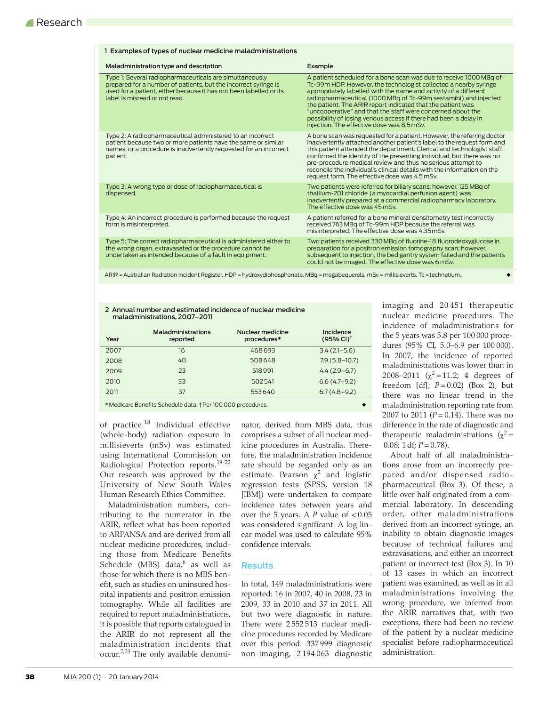|  | 1 Examples of types of nuclear medicine maladministrations                                                                                                                                                                        |                                                                                                                                                                                                                                                                                                                                                                                                                                                                                                                               |  |  |  |
|--|-----------------------------------------------------------------------------------------------------------------------------------------------------------------------------------------------------------------------------------|-------------------------------------------------------------------------------------------------------------------------------------------------------------------------------------------------------------------------------------------------------------------------------------------------------------------------------------------------------------------------------------------------------------------------------------------------------------------------------------------------------------------------------|--|--|--|
|  | Maladministration type and description                                                                                                                                                                                            | Example                                                                                                                                                                                                                                                                                                                                                                                                                                                                                                                       |  |  |  |
|  | Type 1: Several radiopharmaceuticals are simultaneously<br>prepared for a number of patients, but the incorrect syringe is<br>used for a patient, either because it has not been labelled or its<br>label is misread or not read. | A patient scheduled for a bone scan was due to receive 1000 MBq of<br>Tc-99m HDP. However, the technologist collected a nearby syringe<br>appropriately labelled with the name and activity of a different<br>radiopharmaceutical (1000 MBq of Tc-99m sestamibi) and injected<br>the patient. The ARIR report indicated that the patient was<br>"uncooperative" and that the staff were concerned about the<br>possibility of losing venous access if there had been a delay in<br>injection. The effective dose was 8.5 mSv. |  |  |  |
|  | Type 2: A radiopharmaceutical administered to an incorrect<br>patient because two or more patients have the same or similar<br>names, or a procedure is inadvertently requested for an incorrect<br>patient.                      | A bone scan was requested for a patient. However, the referring doctor<br>inadvertently attached another patient's label to the request form and<br>this patient attended the department. Clerical and technologist staff<br>confirmed the identity of the presenting individual, but there was no<br>pre-procedure medical review and thus no serious attempt to<br>reconcile the individual's clinical details with the information on the<br>request form. The effective dose was 4.5 mSv.                                 |  |  |  |
|  | Type 3: A wrong type or dose of radiopharmaceutical is<br>dispensed.                                                                                                                                                              | Two patients were referred for biliary scans; however, 125 MBq of<br>thallium-201 chloride (a myocardial perfusion agent) was<br>inadvertently prepared at a commercial radiopharmacy laboratory.<br>The effective dose was 45 mSv                                                                                                                                                                                                                                                                                            |  |  |  |
|  | Type 4: An incorrect procedure is performed because the request<br>form is misinterpreted.                                                                                                                                        | A patient referred for a bone mineral densitometry test incorrectly<br>received 763 MBg of Tc-99m HDP because the referral was<br>misinterpreted. The effective dose was 4.35mSv.                                                                                                                                                                                                                                                                                                                                             |  |  |  |
|  | Type 5: The correct radiopharmaceutical is administered either to<br>the wrong organ, extravasated or the procedure cannot be<br>undertaken as intended because of a fault in equipment.                                          | Two patients received 330 MBg of fluorine-18 fluorodeoxyglucose in<br>preparation for a positron emission tomography scan: however.<br>subsequent to injection, the bed gantry system failed and the patients<br>could not be imaged. The effective dose was 6 mSy.                                                                                                                                                                                                                                                           |  |  |  |
|  | ARIR = Australian Radiation Incident Register. HDP = hydroxydiphosphonate. MBq = megabequerels. mSv = millisieverts. Tc = technetium.                                                                                             |                                                                                                                                                                                                                                                                                                                                                                                                                                                                                                                               |  |  |  |

2 Annual number and estimated incidence of nuclear medicine maladministrations, 2007–2011

| Year | <b>Maladministrations</b><br>reported | Nuclear medicine<br>procedures* | Incidence<br>(95% CI) <sup>†</sup> |  |  |
|------|---------------------------------------|---------------------------------|------------------------------------|--|--|
| 2007 | 16                                    | 468693                          | $3.4(2.1-5.6)$                     |  |  |
| 2008 | 40                                    | 508648                          | $7.9(5.8 - 10.7)$                  |  |  |
| 2009 | 23                                    | 518991                          | $4.4(2.9-6.7)$                     |  |  |
| 2010 | 33                                    | 502541                          | $6.6(4.7-9.2)$                     |  |  |
| 2011 | 37                                    | 553640                          | $6.7(4.8-9.2)$                     |  |  |
|      |                                       |                                 |                                    |  |  |

\* Medicare Benefits Schedule data. † Per 100 000 procedures.

of practice.[18](#page-3-18) Individual effective (whole-body) radiation exposure in millisieverts (mSv) was estimated using International Commission on Radiological Protection reports.[19](#page-3-19)[-22](#page-3-20) Our research was approved by the University of New South Wales Human Research Ethics Committee.

Maladministration numbers, contributing to the numerator in the ARIR, reflect what has been reported to ARPANSA and are derived from all nuclear medicine procedures, including those from Medicare Benefits Schedule (MBS) data,<sup>[6](#page-3-5)</sup> as well as those for which there is no MBS benefit, such as studies on uninsured hospital inpatients and positron emission tomography. While all facilities are required to report maladministrations, it is possible that reports catalogued in the ARIR do not represent all the maladministration incidents that occur[.7](#page-3-6),[23](#page-3-21) The only available denominator, derived from MBS data, thus comprises a subset of all nuclear medicine procedures in Australia. Therefore, the maladministration incidence rate should be regarded only as an estimate. Pearson  $\chi^2$  and logistic regression tests (SPSS, version 18 [IBM]) were undertaken to compare incidence rates between years and over the 5 years. A *P* value of < 0.05 was considered significant. A log linear model was used to calculate 95% confidence intervals.

# Results

In total, 149 maladministrations were reported: 16 in 2007, 40 in 2008, 23 in 2009, 33 in 2010 and 37 in 2011. All but two were diagnostic in nature. There were 2 552 513 nuclear medicine procedures recorded by Medicare over this period: 337 999 diagnostic non-imaging, 2 194 063 diagnostic

imaging and 20 451 therapeutic nuclear medicine procedures. The incidence of maladministrations for the 5 years was 5.8 per 100 000 procedures (95% CI, 5.0–6.9 per 100 000). In 2007, the incidence of reported maladministrations was lower than in 2008–2011 ( $\chi^2$  = 11.2; 4 degrees of freedom  $[df]$ ;  $P = 0.02$ ) (Box 2), but there was no linear trend in the maladministration reporting rate from 2007 to 2011 (*P* = 0.14). There was no difference in the rate of diagnostic and therapeutic maladministrations  $(\chi^2 =$  $0.08$ ; 1 df;  $P = 0.78$ ).

About half of all maladministrations arose from an incorrectly prepared and/or dispensed radiopharmaceutical (Box 3). Of these, a little over half originated from a commercial laboratory. In descending order, other maladministrations derived from an incorrect syringe, an inability to obtain diagnostic images because of technical failures and extravasations, and either an incorrect patient or incorrect test (Box 3). In 10 of 13 cases in which an incorrect patient was examined, as well as in all maladministrations involving the wrong procedure, we inferred from the ARIR narratives that, with two exceptions, there had been no review of the patient by a nuclear medicine specialist before radiopharmaceutical administration.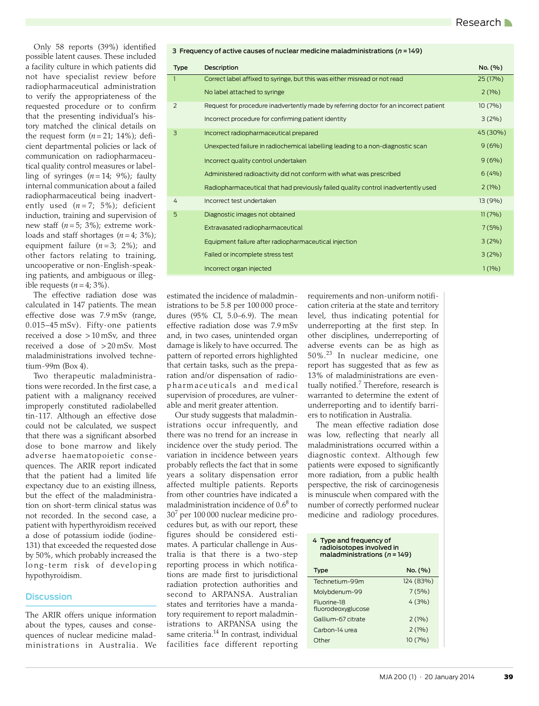Only 58 reports (39%) identified possible latent causes. These included a facility culture in which patients did not have specialist review before radiopharmaceutical administration to verify the appropriateness of the requested procedure or to confirm that the presenting individual's history matched the clinical details on the request form  $(n=21; 14\%)$ ; deficient departmental policies or lack of communication on radiopharmaceutical quality control measures or labelling of syringes  $(n=14; 9\%)$ ; faulty internal communication about a failed radiopharmaceutical being inadvertently used  $(n=7; 5\%)$ ; deficient induction, training and supervision of new staff (*n* = 5; 3%); extreme workloads and staff shortages  $(n=4; 3\%)$ ; equipment failure  $(n=3; 2\%)$ ; and other factors relating to training, uncooperative or non-English-speaking patients, and ambiguous or illegible requests  $(n=4, 3\%)$ .

The effective radiation dose was calculated in 147 patients. The mean effective dose was 7.9 mSv (range, 0.015–45 mSv). Fifty-one patients received a dose > 10 mSv, and three received a dose of > 20 mSv. Most maladministrations involved technetium-99m (Box 4).

Two therapeutic maladministrations were recorded. In the first case, a patient with a malignancy received improperly constituted radiolabelled tin-117. Although an effective dose could not be calculated, we suspect that there was a significant absorbed dose to bone marrow and likely adverse haematopoietic consequences. The ARIR report indicated that the patient had a limited life expectancy due to an existing illness, but the effect of the maladministration on short-term clinical status was not recorded. In the second case, a patient with hyperthyroidism received a dose of potassium iodide (iodine-131) that exceeded the requested dose by 50%, which probably increased the long-term risk of developing hypothyroidism.

## **Discussion**

The ARIR offers unique information about the types, causes and consequences of nuclear medicine maladministrations in Australia. We

| 3 Frequency of active causes of nuclear medicine maladministrations ( $n = 149$ ) |                                                                                       |          |  |  |  |
|-----------------------------------------------------------------------------------|---------------------------------------------------------------------------------------|----------|--|--|--|
| <b>Type</b>                                                                       | Description                                                                           | No. (%)  |  |  |  |
|                                                                                   | Correct label affixed to syringe, but this was either misread or not read             | 25 (17%) |  |  |  |
|                                                                                   | No label attached to syringe                                                          | 2(1%)    |  |  |  |
| 2                                                                                 | Request for procedure inadvertently made by referring doctor for an incorrect patient | 10(7%)   |  |  |  |
|                                                                                   | Incorrect procedure for confirming patient identity                                   | 3(2%)    |  |  |  |
| 3                                                                                 | Incorrect radiopharmaceutical prepared                                                | 45 (30%) |  |  |  |
|                                                                                   | Unexpected failure in radiochemical labelling leading to a non-diagnostic scan        | 9(6%)    |  |  |  |
|                                                                                   | Incorrect quality control undertaken                                                  | 9(6%)    |  |  |  |
|                                                                                   | Administered radioactivity did not conform with what was prescribed                   | 6(4%)    |  |  |  |
|                                                                                   | Radiopharmaceutical that had previously failed quality control inadvertently used     | 2(1%)    |  |  |  |
| 4                                                                                 | Incorrect test undertaken                                                             | 13 (9%)  |  |  |  |
| 5                                                                                 | Diagnostic images not obtained                                                        | 11(7%)   |  |  |  |
|                                                                                   | Extravasated radiopharmaceutical                                                      | 7(5%)    |  |  |  |
|                                                                                   | Equipment failure after radiopharmaceutical injection                                 | 3(2%)    |  |  |  |
|                                                                                   | Failed or incomplete stress test                                                      | 3(2%)    |  |  |  |
|                                                                                   | Incorrect organ injected                                                              | 1(1%)    |  |  |  |
|                                                                                   |                                                                                       |          |  |  |  |

estimated the incidence of maladministrations to be 5.8 per 100 000 procedures (95% CI, 5.0–6.9). The mean effective radiation dose was 7.9 mSv and, in two cases, unintended organ damage is likely to have occurred. The pattern of reported errors highlighted that certain tasks, such as the preparation and/or dispensation of radiopharmaceuticals and medical supervision of procedures, are vulnerable and merit greater attention.

Our study suggests that maladministrations occur infrequently, and there was no trend for an increase in incidence over the study period. The variation in incidence between years probably reflects the fact that in some years a solitary dispensation error affected multiple patients. Reports from other countries have indicated a maladministration incidence of  $0.6^8$  to 307 per 100 000 nuclear medicine procedures but, as with our report, these figures should be considered estimates. A particular challenge in Australia is that there is a two-step reporting process in which notifications are made first to jurisdictional radiation protection authorities and second to ARPANSA. Australian states and territories have a mandatory requirement to report maladministrations to ARPANSA using the same criteria.<sup>14</sup> In contrast, individual facilities face different reporting

requirements and non-uniform notification criteria at the state and territory level, thus indicating potential for underreporting at the first step. In other disciplines, underreporting of adverse events can be as high as 50%.[23](#page-3-21) In nuclear medicine, one report has suggested that as few as 13% of maladministrations are even-tually notified.<sup>[7](#page-3-6)</sup> Therefore, research is warranted to determine the extent of underreporting and to identify barriers to notification in Australia.

The mean effective radiation dose was low, reflecting that nearly all maladministrations occurred within a diagnostic context. Although few patients were exposed to significantly more radiation, from a public health perspective, the risk of carcinogenesis is minuscule when compared with the number of correctly performed nuclear medicine and radiology procedures.

#### 4 Type and frequency of radioisotopes involved in maladministrations (*n*= 149)

| Type                              | No. (%)   |
|-----------------------------------|-----------|
| Technetium-99m                    | 124 (83%) |
| Molybdenum-99                     | 7(5%)     |
| Fluorine-18<br>fluorodeoxyglucose | 4(3%)     |
| Gallium-67 citrate                | 2(1%)     |
| Carbon-14 urea                    | 2(1%)     |
| Other                             | 10(7%)    |
|                                   |           |